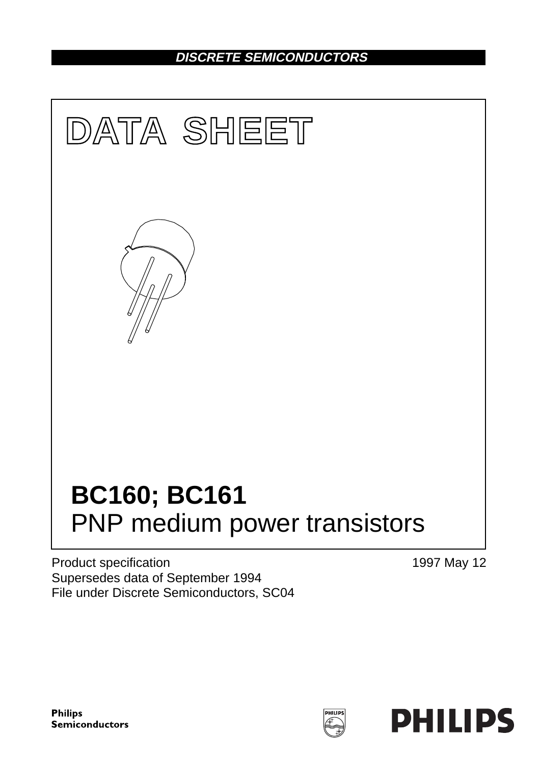## **DISCRETE SEMICONDUCTORS**



Product specification Supersedes data of September 1994 File under Discrete Semiconductors, SC04 1997 May 12

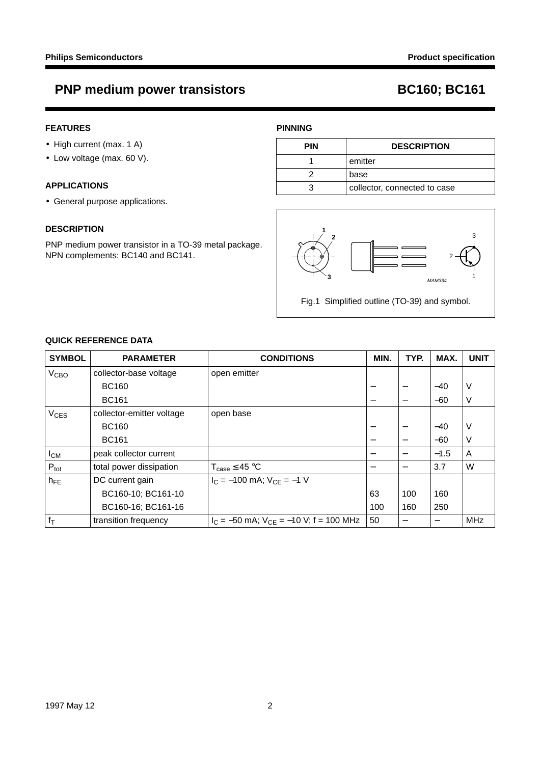## **PNP medium power transistors BC160; BC161**

### **FEATURES**

- High current (max. 1 A)
- Low voltage (max. 60 V).

### **APPLICATIONS**

• General purpose applications.

#### **DESCRIPTION**

PNP medium power transistor in a TO-39 metal package. NPN complements: BC140 and BC141.

### **PINNING**

| <b>PIN</b> | <b>DESCRIPTION</b>           |  |
|------------|------------------------------|--|
|            | emitter                      |  |
|            | base                         |  |
| З          | collector, connected to case |  |



### **QUICK REFERENCE DATA**

| <b>SYMBOL</b>          | <b>PARAMETER</b>          | <b>CONDITIONS</b>                             | MIN. | TYP.                     | MAX.   | <b>UNIT</b> |
|------------------------|---------------------------|-----------------------------------------------|------|--------------------------|--------|-------------|
| <b>V<sub>CВО</sub></b> | collector-base voltage    | open emitter                                  |      |                          |        |             |
|                        | <b>BC160</b>              |                                               |      |                          | $-40$  | ν           |
|                        | <b>BC161</b>              |                                               |      | $\overline{\phantom{m}}$ | $-60$  | ν           |
| $V_{CES}$              | collector-emitter voltage | open base                                     |      |                          |        |             |
|                        | <b>BC160</b>              |                                               |      |                          | $-40$  | ν           |
|                        | <b>BC161</b>              |                                               |      | $\overline{\phantom{m}}$ | $-60$  | ٧           |
| $I_{CM}$               | peak collector current    |                                               |      |                          | $-1.5$ | A           |
| $P_{\text{tot}}$       | total power dissipation   | $T_{\text{case}} \leq 45 \text{ °C}$          |      |                          | 3.7    | W           |
| $h_{FE}$               | DC current gain           | $I_C = -100$ mA; $V_{CF} = -1$ V              |      |                          |        |             |
|                        | BC160-10; BC161-10        |                                               | 63   | 100                      | 160    |             |
|                        | BC160-16; BC161-16        |                                               | 100  | 160                      | 250    |             |
| $f_T$                  | transition frequency      | $I_C = -50$ mA; $V_{CF} = -10$ V; f = 100 MHz | 50   |                          |        | <b>MHz</b>  |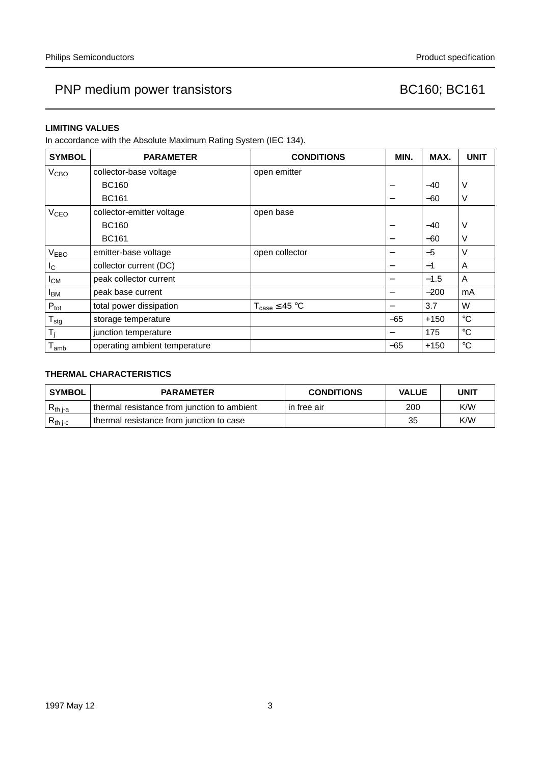#### **LIMITING VALUES**

In accordance with the Absolute Maximum Rating System (IEC 134).

| <b>SYMBOL</b>    | <b>PARAMETER</b>              | <b>CONDITIONS</b>            | MIN.                     | MAX.   | <b>UNIT</b> |
|------------------|-------------------------------|------------------------------|--------------------------|--------|-------------|
| V <sub>CBO</sub> | collector-base voltage        | open emitter                 |                          |        |             |
|                  | <b>BC160</b>                  |                              | $\overline{\phantom{0}}$ | $-40$  | V           |
|                  | <b>BC161</b>                  |                              |                          | $-60$  | V           |
| V <sub>CEO</sub> | collector-emitter voltage     | open base                    |                          |        |             |
|                  | <b>BC160</b>                  |                              | -                        | $-40$  | V           |
|                  | <b>BC161</b>                  |                              |                          | $-60$  | $\vee$      |
| V <sub>EBO</sub> | emitter-base voltage          | open collector               |                          | $-5$   | $\vee$      |
| $I_{\rm C}$      | collector current (DC)        |                              | -                        | $-1$   | A           |
| $I_{CM}$         | peak collector current        |                              |                          | $-1.5$ | A           |
| $I_{BM}$         | peak base current             |                              |                          | $-200$ | mA          |
| $P_{\text{tot}}$ | total power dissipation       | $T_{\text{case}} \leq 45$ °C |                          | 3.7    | W           |
| $T_{\text{stg}}$ | storage temperature           |                              | $-65$                    | $+150$ | $^{\circ}C$ |
| T,               | junction temperature          |                              |                          | 175    | $^{\circ}C$ |
| $T_{amb}$        | operating ambient temperature |                              | $-65$                    | $+150$ | $^{\circ}C$ |

### **THERMAL CHARACTERISTICS**

| <b>SYMBOL</b> | <b>PARAMETER</b>                            | <b>CONDITIONS</b> | <b>VALUE</b> | <b>UNIT</b> |
|---------------|---------------------------------------------|-------------------|--------------|-------------|
| $R_{th\,j-a}$ | thermal resistance from junction to ambient | in free air       | 200          | K/W         |
| $R_{th\ j-c}$ | thermal resistance from junction to case    |                   | 35           | K/W         |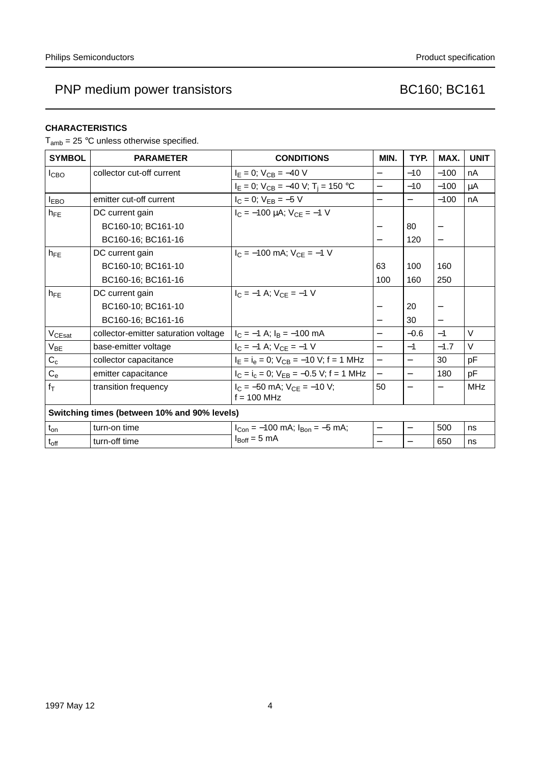#### **CHARACTERISTICS**

 $T_{amb}$  = 25 °C unless otherwise specified.

| <b>SYMBOL</b>                                | <b>PARAMETER</b>                     | <b>CONDITIONS</b>                              | MIN.                     | TYP.                     | MAX.                     | <b>UNIT</b> |
|----------------------------------------------|--------------------------------------|------------------------------------------------|--------------------------|--------------------------|--------------------------|-------------|
| <b>I</b> CBO                                 | collector cut-off current            | $I_E = 0$ ; $V_{CB} = -40$ V                   | $\overline{\phantom{0}}$ | $-10$                    | $-100$                   | nA          |
|                                              |                                      | $I_E = 0$ ; $V_{CB} = -40$ V; $T_i = 150$ °C   |                          | $-10$                    | $-100$                   | μA          |
| $I_{EBO}$                                    | emitter cut-off current              | $I_C = 0$ ; $V_{EB} = -5$ V                    | $\overline{\phantom{0}}$ | $\qquad \qquad -$        | $-100$                   | nA          |
| $h_{\text{FF}}$                              | DC current gain                      | $I_C = -100 \mu A$ ; $V_{CE} = -1 V$           |                          |                          |                          |             |
|                                              | BC160-10; BC161-10                   |                                                |                          | 80                       |                          |             |
|                                              | BC160-16; BC161-16                   |                                                | $\overline{\phantom{0}}$ | 120                      | $\overline{\phantom{0}}$ |             |
| $h_{FE}$                                     | DC current gain                      | $I_C = -100$ mA; $V_{CE} = -1$ V               |                          |                          |                          |             |
|                                              | BC160-10; BC161-10                   |                                                | 63                       | 100                      | 160                      |             |
|                                              | BC160-16; BC161-16                   |                                                | 100                      | 160                      | 250                      |             |
| $h_{FE}$                                     | DC current gain                      | $I_C = -1$ A; $V_{CF} = -1$ V                  |                          |                          |                          |             |
|                                              | BC160-10; BC161-10                   |                                                |                          | 20                       |                          |             |
|                                              | BC160-16; BC161-16                   |                                                |                          | 30                       |                          |             |
| V <sub>CEsat</sub>                           | collector-emitter saturation voltage | $I_C = -1$ A; $I_B = -100$ mA                  | $\overline{\phantom{0}}$ | $-0.6$                   | $-1$                     | $\vee$      |
| $V_{BE}$                                     | base-emitter voltage                 | $I_C = -1$ A; $V_{CE} = -1$ V                  | $\overline{\phantom{0}}$ | $-1$                     | $-1.7$                   | $\vee$      |
| $C_c$                                        | collector capacitance                | $I_E = I_e = 0$ ; $V_{CB} = -10$ V; f = 1 MHz  | $\overline{\phantom{0}}$ | $\overline{\phantom{0}}$ | 30                       | pF          |
| $C_{e}$                                      | emitter capacitance                  | $I_C = I_c = 0$ ; $V_{EB} = -0.5$ V; f = 1 MHz | $\overline{a}$           | $\overline{\phantom{0}}$ | 180                      | pF          |
| $f_T$                                        | transition frequency                 | $I_C = -50$ mA; $V_{CE} = -10$ V;              | 50                       | $\qquad \qquad -$        |                          | <b>MHz</b>  |
|                                              |                                      | $f = 100$ MHz                                  |                          |                          |                          |             |
| Switching times (between 10% and 90% levels) |                                      |                                                |                          |                          |                          |             |
| $t_{on}$                                     | turn-on time                         | $I_{Con} = -100$ mA; $I_{Bon} = -5$ mA;        | —                        | $\overline{\phantom{0}}$ | 500                      | ns          |
| $t_{off}$                                    | turn-off time                        | $I_{\text{Boff}} = 5 \text{ mA}$               | $\overline{\phantom{0}}$ |                          | 650                      | ns          |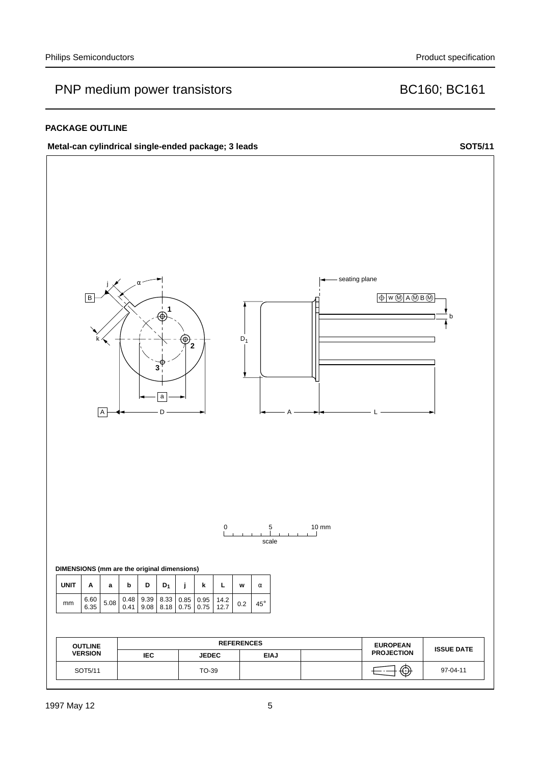#### **PACKAGE OUTLINE**

### Metal-can cylindrical single-ended package; 3 leads SOT5/11

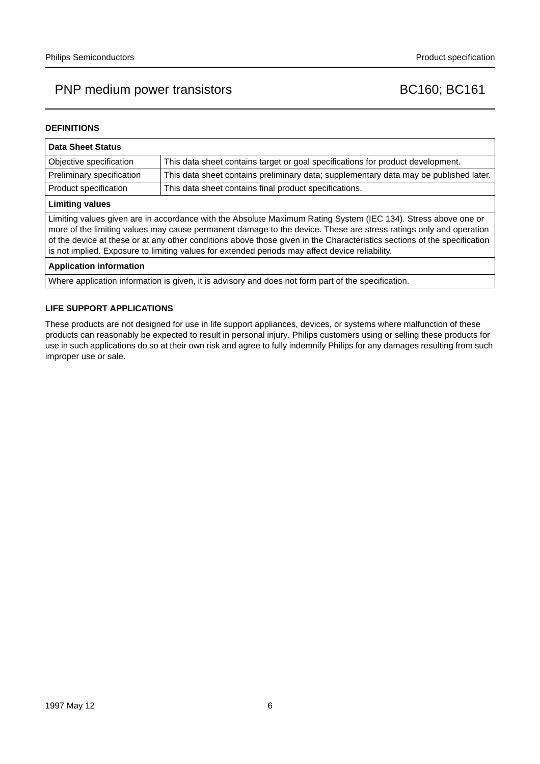#### **DEFINITIONS**

| Data Sheet Status                                                                                                                                                                                                                                                                                                                                                                                                                                                  |                                                                                       |  |  |  |
|--------------------------------------------------------------------------------------------------------------------------------------------------------------------------------------------------------------------------------------------------------------------------------------------------------------------------------------------------------------------------------------------------------------------------------------------------------------------|---------------------------------------------------------------------------------------|--|--|--|
| Objective specification                                                                                                                                                                                                                                                                                                                                                                                                                                            | This data sheet contains target or goal specifications for product development.       |  |  |  |
| Preliminary specification                                                                                                                                                                                                                                                                                                                                                                                                                                          | This data sheet contains preliminary data; supplementary data may be published later. |  |  |  |
| Product specification                                                                                                                                                                                                                                                                                                                                                                                                                                              | This data sheet contains final product specifications.                                |  |  |  |
| <b>Limiting values</b>                                                                                                                                                                                                                                                                                                                                                                                                                                             |                                                                                       |  |  |  |
| Limiting values given are in accordance with the Absolute Maximum Rating System (IEC 134). Stress above one or<br>more of the limiting values may cause permanent damage to the device. These are stress ratings only and operation<br>of the device at these or at any other conditions above those given in the Characteristics sections of the specification<br>is not implied. Exposure to limiting values for extended periods may affect device reliability. |                                                                                       |  |  |  |
| <b>Application information</b>                                                                                                                                                                                                                                                                                                                                                                                                                                     |                                                                                       |  |  |  |

Where application information is given, it is advisory and does not form part of the specification.

#### **LIFE SUPPORT APPLICATIONS**

These products are not designed for use in life support appliances, devices, or systems where malfunction of these products can reasonably be expected to result in personal injury. Philips customers using or selling these products for use in such applications do so at their own risk and agree to fully indemnify Philips for any damages resulting from such improper use or sale.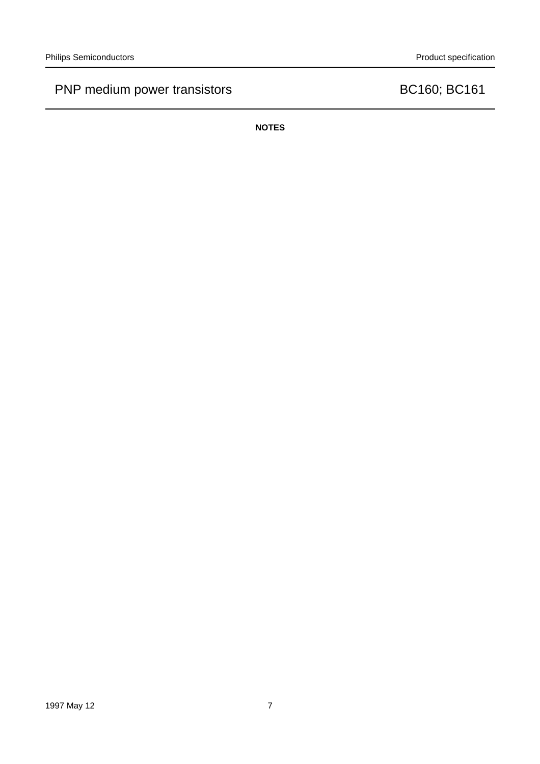**NOTES**